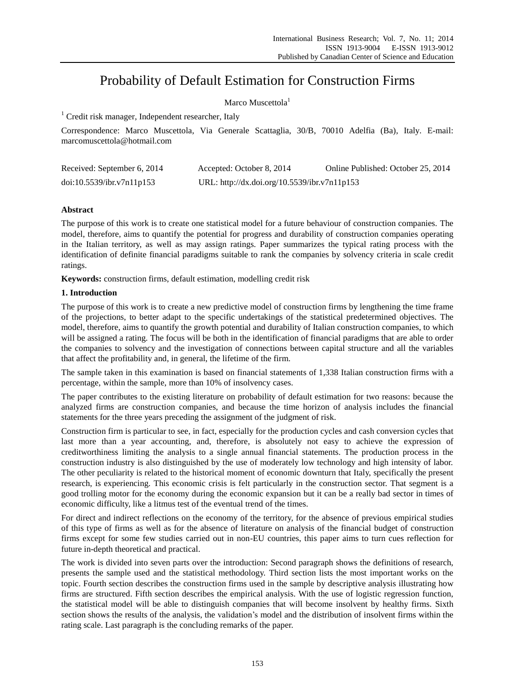# Probability of Default Estimation for Construction Firms

# Marco Muscettola<sup>1</sup>

<sup>1</sup> Credit risk manager, Independent researcher, Italy

Correspondence: Marco Muscettola, Via Generale Scattaglia, 30/B, 70010 Adelfia (Ba), Italy. E-mail: marcomuscettola@hotmail.com

| Received: September 6, 2014 | Accepted: October 8, 2014                    | Online Published: October 25, 2014 |
|-----------------------------|----------------------------------------------|------------------------------------|
| doi:10.5539/ibr.v7n11p153   | URL: http://dx.doi.org/10.5539/ibr.v7n11p153 |                                    |

# **Abstract**

The purpose of this work is to create one statistical model for a future behaviour of construction companies. The model, therefore, aims to quantify the potential for progress and durability of construction companies operating in the Italian territory, as well as may assign ratings. Paper summarizes the typical rating process with the identification of definite financial paradigms suitable to rank the companies by solvency criteria in scale credit ratings.

**Keywords:** construction firms, default estimation, modelling credit risk

# **1. Introduction**

The purpose of this work is to create a new predictive model of construction firms by lengthening the time frame of the projections, to better adapt to the specific undertakings of the statistical predetermined objectives. The model, therefore, aims to quantify the growth potential and durability of Italian construction companies, to which will be assigned a rating. The focus will be both in the identification of financial paradigms that are able to order the companies to solvency and the investigation of connections between capital structure and all the variables that affect the profitability and, in general, the lifetime of the firm.

The sample taken in this examination is based on financial statements of 1,338 Italian construction firms with a percentage, within the sample, more than 10% of insolvency cases.

The paper contributes to the existing literature on probability of default estimation for two reasons: because the analyzed firms are construction companies, and because the time horizon of analysis includes the financial statements for the three years preceding the assignment of the judgment of risk.

Construction firm is particular to see, in fact, especially for the production cycles and cash conversion cycles that last more than a year accounting, and, therefore, is absolutely not easy to achieve the expression of creditworthiness limiting the analysis to a single annual financial statements. The production process in the construction industry is also distinguished by the use of moderately low technology and high intensity of labor. The other peculiarity is related to the historical moment of economic downturn that Italy, specifically the present research, is experiencing. This economic crisis is felt particularly in the construction sector. That segment is a good trolling motor for the economy during the economic expansion but it can be a really bad sector in times of economic difficulty, like a litmus test of the eventual trend of the times.

For direct and indirect reflections on the economy of the territory, for the absence of previous empirical studies of this type of firms as well as for the absence of literature on analysis of the financial budget of construction firms except for some few studies carried out in non-EU countries, this paper aims to turn cues reflection for future in-depth theoretical and practical.

The work is divided into seven parts over the introduction: Second paragraph shows the definitions of research, presents the sample used and the statistical methodology. Third section lists the most important works on the topic. Fourth section describes the construction firms used in the sample by descriptive analysis illustrating how firms are structured. Fifth section describes the empirical analysis. With the use of logistic regression function, the statistical model will be able to distinguish companies that will become insolvent by healthy firms. Sixth section shows the results of the analysis, the validation's model and the distribution of insolvent firms within the rating scale. Last paragraph is the concluding remarks of the paper.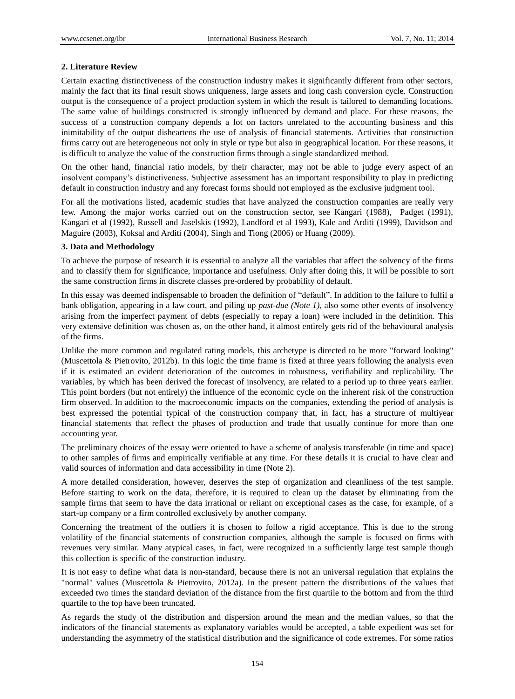#### **2. Literature Review**

Certain exacting distinctiveness of the construction industry makes it significantly different from other sectors, mainly the fact that its final result shows uniqueness, large assets and long cash conversion cycle. Construction output is the consequence of a project production system in which the result is tailored to demanding locations. The same value of buildings constructed is strongly influenced by demand and place. For these reasons, the success of a construction company depends a lot on factors unrelated to the accounting business and this inimitability of the output disheartens the use of analysis of financial statements. Activities that construction firms carry out are heterogeneous not only in style or type but also in geographical location. For these reasons, it is difficult to analyze the value of the construction firms through a single standardized method.

On the other hand, financial ratio models, by their character, may not be able to judge every aspect of an insolvent company's distinctiveness. Subjective assessment has an important responsibility to play in predicting default in construction industry and any forecast forms should not employed as the exclusive judgment tool.

For all the motivations listed, academic studies that have analyzed the construction companies are really very few. Among the major works carried out on the construction sector, see Kangari (1988), Padget (1991), Kangari et al (1992), Russell and Jaselskis (1992), Landford et al 1993), Kale and Arditi (1999), Davidson and Maguire (2003), Koksal and Arditi (2004), Singh and Tiong (2006) or Huang (2009).

#### **3. Data and Methodology**

To achieve the purpose of research it is essential to analyze all the variables that affect the solvency of the firms and to classify them for significance, importance and usefulness. Only after doing this, it will be possible to sort the same construction firms in discrete classes pre-ordered by probability of default.

In this essay was deemed indispensable to broaden the definition of "default". In addition to the failure to fulfil a bank obligation, appearing in a law court, and piling up *past-due (Note 1)*, also some other events of insolvency arising from the imperfect payment of debts (especially to repay a loan) were included in the definition. This very extensive definition was chosen as, on the other hand, it almost entirely gets rid of the behavioural analysis of the firms.

Unlike the more common and regulated rating models, this archetype is directed to be more "forward looking" (Muscettola & Pietrovito, 2012b). In this logic the time frame is fixed at three years following the analysis even if it is estimated an evident deterioration of the outcomes in robustness, verifiability and replicability. The variables, by which has been derived the forecast of insolvency, are related to a period up to three years earlier. This point borders (but not entirely) the influence of the economic cycle on the inherent risk of the construction firm observed. In addition to the macroeconomic impacts on the companies, extending the period of analysis is best expressed the potential typical of the construction company that, in fact, has a structure of multiyear financial statements that reflect the phases of production and trade that usually continue for more than one accounting year.

The preliminary choices of the essay were oriented to have a scheme of analysis transferable (in time and space) to other samples of firms and empirically verifiable at any time. For these details it is crucial to have clear and valid sources of information and data accessibility in time (Note 2).

A more detailed consideration, however, deserves the step of organization and cleanliness of the test sample. Before starting to work on the data, therefore, it is required to clean up the dataset by eliminating from the sample firms that seem to have the data irrational or reliant on exceptional cases as the case, for example, of a start-up company or a firm controlled exclusively by another company.

Concerning the treatment of the outliers it is chosen to follow a rigid acceptance. This is due to the strong volatility of the financial statements of construction companies, although the sample is focused on firms with revenues very similar. Many atypical cases, in fact, were recognized in a sufficiently large test sample though this collection is specific of the construction industry.

It is not easy to define what data is non-standard, because there is not an universal regulation that explains the "normal" values (Muscettola & Pietrovito, 2012a). In the present pattern the distributions of the values that exceeded two times the standard deviation of the distance from the first quartile to the bottom and from the third quartile to the top have been truncated.

As regards the study of the distribution and dispersion around the mean and the median values, so that the indicators of the financial statements as explanatory variables would be accepted, a table expedient was set for understanding the asymmetry of the statistical distribution and the significance of code extremes. For some ratios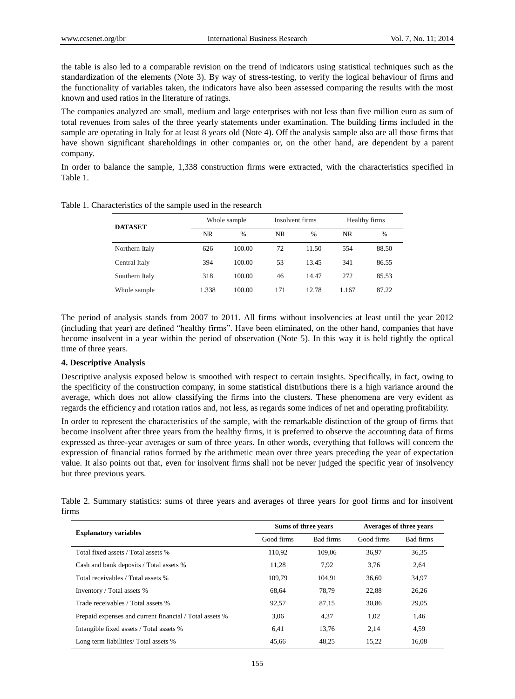the table is also led to a comparable revision on the trend of indicators using statistical techniques such as the standardization of the elements (Note 3). By way of stress-testing, to verify the logical behaviour of firms and the functionality of variables taken, the indicators have also been assessed comparing the results with the most known and used ratios in the literature of ratings.

The companies analyzed are small, medium and large enterprises with not less than five million euro as sum of total revenues from sales of the three yearly statements under examination. The building firms included in the sample are operating in Italy for at least 8 years old (Note 4). Off the analysis sample also are all those firms that have shown significant shareholdings in other companies or, on the other hand, are dependent by a parent company.

In order to balance the sample, 1,338 construction firms were extracted, with the characteristics specified in Table 1.

| <b>DATASET</b> | Whole sample |               |           | Insolvent firms |       | Healthy firms |  |
|----------------|--------------|---------------|-----------|-----------------|-------|---------------|--|
|                | NR.          | $\frac{0}{0}$ | <b>NR</b> | $\frac{0}{0}$   | NR.   | $\frac{0}{0}$ |  |
| Northern Italy | 626          | 100.00        | 72        | 11.50           | 554   | 88.50         |  |
| Central Italy  | 394          | 100.00        | 53        | 13.45           | 341   | 86.55         |  |
| Southern Italy | 318          | 100.00        | 46        | 14.47           | 272   | 85.53         |  |
| Whole sample   | 1.338        | 100.00        | 171       | 12.78           | 1.167 | 87.22         |  |

Table 1. Characteristics of the sample used in the research

The period of analysis stands from 2007 to 2011. All firms without insolvencies at least until the year 2012 (including that year) are defined "healthy firms". Have been eliminated, on the other hand, companies that have become insolvent in a year within the period of observation (Note 5). In this way it is held tightly the optical time of three years.

## **4. Descriptive Analysis**

Descriptive analysis exposed below is smoothed with respect to certain insights. Specifically, in fact, owing to the specificity of the construction company, in some statistical distributions there is a high variance around the average, which does not allow classifying the firms into the clusters. These phenomena are very evident as regards the efficiency and rotation ratios and, not less, as regards some indices of net and operating profitability.

In order to represent the characteristics of the sample, with the remarkable distinction of the group of firms that become insolvent after three years from the healthy firms, it is preferred to observe the accounting data of firms expressed as three-year averages or sum of three years. In other words, everything that follows will concern the expression of financial ratios formed by the arithmetic mean over three years preceding the year of expectation value. It also points out that, even for insolvent firms shall not be never judged the specific year of insolvency but three previous years.

Table 2. Summary statistics: sums of three years and averages of three years for goof firms and for insolvent firms

| <b>Explanatory variables</b>                            | Sums of three years |           | Averages of three years |           |
|---------------------------------------------------------|---------------------|-----------|-------------------------|-----------|
|                                                         | Good firms          | Bad firms | Good firms              | Bad firms |
| Total fixed assets / Total assets %                     | 110.92              | 109,06    | 36.97                   | 36,35     |
| Cash and bank deposits / Total assets %                 | 11,28               | 7.92      | 3,76                    | 2,64      |
| Total receivables / Total assets %                      | 109.79              | 104.91    | 36,60                   | 34,97     |
| Inventory / Total assets %                              | 68,64               | 78,79     | 22,88                   | 26,26     |
| Trade receivables / Total assets %                      | 92,57               | 87,15     | 30.86                   | 29,05     |
| Prepaid expenses and current financial / Total assets % | 3,06                | 4,37      | 1.02                    | 1,46      |
| Intangible fixed assets / Total assets %                | 6.41                | 13,76     | 2.14                    | 4,59      |
| Long term liabilities/ Total assets %                   | 45,66               | 48.25     | 15.22                   | 16,08     |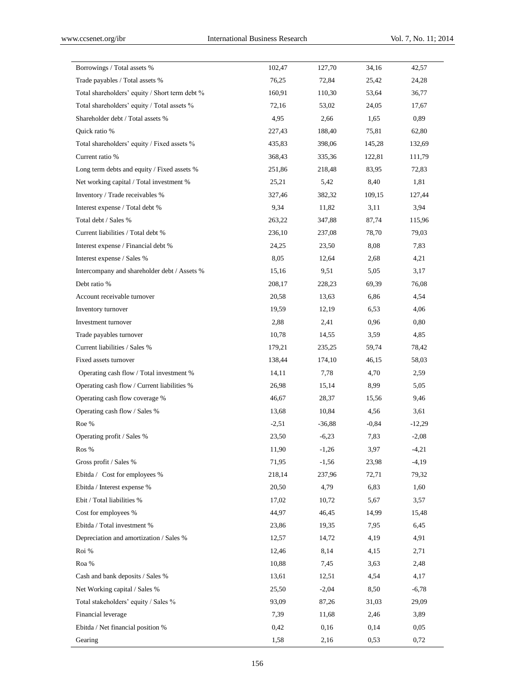| Borrowings / Total assets %<br>102,47<br>127,70<br>34,16<br>42,57<br>Trade payables / Total assets %<br>76,25<br>72,84<br>25,42<br>24,28<br>Total shareholders' equity / Short term debt %<br>160,91<br>53,64<br>36,77<br>110,30<br>Total shareholders' equity / Total assets %<br>72,16<br>53,02<br>17,67<br>24,05<br>4,95<br>0,89<br>Shareholder debt / Total assets %<br>2,66<br>1,65<br>Quick ratio %<br>227,43<br>188,40<br>75,81<br>62,80<br>Total shareholders' equity / Fixed assets %<br>435,83<br>398,06<br>145,28<br>132,69<br>Current ratio %<br>368,43<br>335,36<br>122,81<br>111,79<br>Long term debts and equity / Fixed assets %<br>251,86<br>83,95<br>72,83<br>218,48<br>Net working capital / Total investment %<br>25,21<br>5,42<br>8,40<br>1,81<br>Inventory / Trade receivables %<br>327,46<br>382,32<br>109,15<br>127,44<br>Interest expense / Total debt %<br>9,34<br>11,82<br>3,11<br>3,94<br>Total debt / Sales %<br>263,22<br>347,88<br>87,74<br>115,96<br>Current liabilities / Total debt %<br>236,10<br>79,03<br>237,08<br>78,70<br>8,08<br>7,83<br>Interest expense / Financial debt %<br>24,25<br>23,50<br>8,05<br>4,21<br>Interest expense / Sales %<br>12,64<br>2,68<br>3,17<br>Intercompany and shareholder debt / Assets %<br>15,16<br>9,51<br>5,05<br>Debt ratio %<br>208,17<br>228,23<br>76,08<br>69,39<br>4,54<br>Account receivable turnover<br>20,58<br>13,63<br>6,86<br>4,06<br>Inventory turnover<br>19,59<br>12,19<br>6,53<br>0,80<br>Investment turnover<br>2,88<br>2,41<br>0,96<br>Trade payables turnover<br>10,78<br>14,55<br>4,85<br>3,59<br>Current liabilities / Sales %<br>179,21<br>78,42<br>235,25<br>59,74<br>Fixed assets turnover<br>138,44<br>46,15<br>58,03<br>174,10<br>Operating cash flow / Total investment %<br>14,11<br>7,78<br>4,70<br>2,59<br>Operating cash flow / Current liabilities %<br>26,98<br>15,14<br>8,99<br>5,05<br>Operating cash flow coverage %<br>46,67<br>28,37<br>15,56<br>9,46<br>Operating cash flow / Sales %<br>13,68<br>4,56<br>3,61<br>10,84<br>Roe %<br>$-2,51$<br>$-36,88$<br>$-0,84$<br>$-12,29$<br>Operating profit / Sales %<br>23,50<br>$-6,23$<br>7,83<br>$-2,08$<br>11,90<br>3,97<br>$-4,21$<br>Ros %<br>$-1,26$<br>$-4,19$<br>Gross profit / Sales %<br>71,95<br>$-1,56$<br>23,98<br>Ebitda / Cost for employees %<br>218,14<br>237,96<br>72,71<br>79,32<br>Ebitda / Interest expense %<br>20,50<br>6,83<br>1,60<br>4,79<br>Ebit / Total liabilities %<br>17,02<br>5,67<br>3,57<br>10,72<br>Cost for employees %<br>44,97<br>46,45<br>14,99<br>15,48<br>Ebitda / Total investment %<br>23,86<br>19,35<br>7,95<br>6,45<br>Depreciation and amortization / Sales %<br>12,57<br>14,72<br>4,19<br>4,91<br>Roi %<br>12,46<br>8,14<br>4,15<br>2,71<br>2,48<br>Roa %<br>10,88<br>3,63<br>7,45<br>Cash and bank deposits / Sales %<br>13,61<br>12,51<br>4,54<br>4,17<br>Net Working capital / Sales %<br>25,50<br>$-2,04$<br>8,50<br>$-6,78$<br>Total stakeholders' equity / Sales %<br>93,09<br>31,03<br>29,09<br>87,26<br>Financial leverage<br>7,39<br>2,46<br>3,89<br>11,68<br>Ebitda / Net financial position %<br>0,42<br>0,16<br>0,14<br>0,05<br>1,58<br>0,53<br>0,72<br>Gearing<br>2,16 |  |  |  |
|-------------------------------------------------------------------------------------------------------------------------------------------------------------------------------------------------------------------------------------------------------------------------------------------------------------------------------------------------------------------------------------------------------------------------------------------------------------------------------------------------------------------------------------------------------------------------------------------------------------------------------------------------------------------------------------------------------------------------------------------------------------------------------------------------------------------------------------------------------------------------------------------------------------------------------------------------------------------------------------------------------------------------------------------------------------------------------------------------------------------------------------------------------------------------------------------------------------------------------------------------------------------------------------------------------------------------------------------------------------------------------------------------------------------------------------------------------------------------------------------------------------------------------------------------------------------------------------------------------------------------------------------------------------------------------------------------------------------------------------------------------------------------------------------------------------------------------------------------------------------------------------------------------------------------------------------------------------------------------------------------------------------------------------------------------------------------------------------------------------------------------------------------------------------------------------------------------------------------------------------------------------------------------------------------------------------------------------------------------------------------------------------------------------------------------------------------------------------------------------------------------------------------------------------------------------------------------------------------------------------------------------------------------------------------------------------------------------------------------------------------------------------------------------------------------------------------------------------------------------------------------------------------------------------------------------------------------------------------------------------------------------------------------------------------------------------------------------------------------------------------------------------------------------------------------------------|--|--|--|
|                                                                                                                                                                                                                                                                                                                                                                                                                                                                                                                                                                                                                                                                                                                                                                                                                                                                                                                                                                                                                                                                                                                                                                                                                                                                                                                                                                                                                                                                                                                                                                                                                                                                                                                                                                                                                                                                                                                                                                                                                                                                                                                                                                                                                                                                                                                                                                                                                                                                                                                                                                                                                                                                                                                                                                                                                                                                                                                                                                                                                                                                                                                                                                                           |  |  |  |
|                                                                                                                                                                                                                                                                                                                                                                                                                                                                                                                                                                                                                                                                                                                                                                                                                                                                                                                                                                                                                                                                                                                                                                                                                                                                                                                                                                                                                                                                                                                                                                                                                                                                                                                                                                                                                                                                                                                                                                                                                                                                                                                                                                                                                                                                                                                                                                                                                                                                                                                                                                                                                                                                                                                                                                                                                                                                                                                                                                                                                                                                                                                                                                                           |  |  |  |
|                                                                                                                                                                                                                                                                                                                                                                                                                                                                                                                                                                                                                                                                                                                                                                                                                                                                                                                                                                                                                                                                                                                                                                                                                                                                                                                                                                                                                                                                                                                                                                                                                                                                                                                                                                                                                                                                                                                                                                                                                                                                                                                                                                                                                                                                                                                                                                                                                                                                                                                                                                                                                                                                                                                                                                                                                                                                                                                                                                                                                                                                                                                                                                                           |  |  |  |
|                                                                                                                                                                                                                                                                                                                                                                                                                                                                                                                                                                                                                                                                                                                                                                                                                                                                                                                                                                                                                                                                                                                                                                                                                                                                                                                                                                                                                                                                                                                                                                                                                                                                                                                                                                                                                                                                                                                                                                                                                                                                                                                                                                                                                                                                                                                                                                                                                                                                                                                                                                                                                                                                                                                                                                                                                                                                                                                                                                                                                                                                                                                                                                                           |  |  |  |
|                                                                                                                                                                                                                                                                                                                                                                                                                                                                                                                                                                                                                                                                                                                                                                                                                                                                                                                                                                                                                                                                                                                                                                                                                                                                                                                                                                                                                                                                                                                                                                                                                                                                                                                                                                                                                                                                                                                                                                                                                                                                                                                                                                                                                                                                                                                                                                                                                                                                                                                                                                                                                                                                                                                                                                                                                                                                                                                                                                                                                                                                                                                                                                                           |  |  |  |
|                                                                                                                                                                                                                                                                                                                                                                                                                                                                                                                                                                                                                                                                                                                                                                                                                                                                                                                                                                                                                                                                                                                                                                                                                                                                                                                                                                                                                                                                                                                                                                                                                                                                                                                                                                                                                                                                                                                                                                                                                                                                                                                                                                                                                                                                                                                                                                                                                                                                                                                                                                                                                                                                                                                                                                                                                                                                                                                                                                                                                                                                                                                                                                                           |  |  |  |
|                                                                                                                                                                                                                                                                                                                                                                                                                                                                                                                                                                                                                                                                                                                                                                                                                                                                                                                                                                                                                                                                                                                                                                                                                                                                                                                                                                                                                                                                                                                                                                                                                                                                                                                                                                                                                                                                                                                                                                                                                                                                                                                                                                                                                                                                                                                                                                                                                                                                                                                                                                                                                                                                                                                                                                                                                                                                                                                                                                                                                                                                                                                                                                                           |  |  |  |
|                                                                                                                                                                                                                                                                                                                                                                                                                                                                                                                                                                                                                                                                                                                                                                                                                                                                                                                                                                                                                                                                                                                                                                                                                                                                                                                                                                                                                                                                                                                                                                                                                                                                                                                                                                                                                                                                                                                                                                                                                                                                                                                                                                                                                                                                                                                                                                                                                                                                                                                                                                                                                                                                                                                                                                                                                                                                                                                                                                                                                                                                                                                                                                                           |  |  |  |
|                                                                                                                                                                                                                                                                                                                                                                                                                                                                                                                                                                                                                                                                                                                                                                                                                                                                                                                                                                                                                                                                                                                                                                                                                                                                                                                                                                                                                                                                                                                                                                                                                                                                                                                                                                                                                                                                                                                                                                                                                                                                                                                                                                                                                                                                                                                                                                                                                                                                                                                                                                                                                                                                                                                                                                                                                                                                                                                                                                                                                                                                                                                                                                                           |  |  |  |
|                                                                                                                                                                                                                                                                                                                                                                                                                                                                                                                                                                                                                                                                                                                                                                                                                                                                                                                                                                                                                                                                                                                                                                                                                                                                                                                                                                                                                                                                                                                                                                                                                                                                                                                                                                                                                                                                                                                                                                                                                                                                                                                                                                                                                                                                                                                                                                                                                                                                                                                                                                                                                                                                                                                                                                                                                                                                                                                                                                                                                                                                                                                                                                                           |  |  |  |
|                                                                                                                                                                                                                                                                                                                                                                                                                                                                                                                                                                                                                                                                                                                                                                                                                                                                                                                                                                                                                                                                                                                                                                                                                                                                                                                                                                                                                                                                                                                                                                                                                                                                                                                                                                                                                                                                                                                                                                                                                                                                                                                                                                                                                                                                                                                                                                                                                                                                                                                                                                                                                                                                                                                                                                                                                                                                                                                                                                                                                                                                                                                                                                                           |  |  |  |
|                                                                                                                                                                                                                                                                                                                                                                                                                                                                                                                                                                                                                                                                                                                                                                                                                                                                                                                                                                                                                                                                                                                                                                                                                                                                                                                                                                                                                                                                                                                                                                                                                                                                                                                                                                                                                                                                                                                                                                                                                                                                                                                                                                                                                                                                                                                                                                                                                                                                                                                                                                                                                                                                                                                                                                                                                                                                                                                                                                                                                                                                                                                                                                                           |  |  |  |
|                                                                                                                                                                                                                                                                                                                                                                                                                                                                                                                                                                                                                                                                                                                                                                                                                                                                                                                                                                                                                                                                                                                                                                                                                                                                                                                                                                                                                                                                                                                                                                                                                                                                                                                                                                                                                                                                                                                                                                                                                                                                                                                                                                                                                                                                                                                                                                                                                                                                                                                                                                                                                                                                                                                                                                                                                                                                                                                                                                                                                                                                                                                                                                                           |  |  |  |
|                                                                                                                                                                                                                                                                                                                                                                                                                                                                                                                                                                                                                                                                                                                                                                                                                                                                                                                                                                                                                                                                                                                                                                                                                                                                                                                                                                                                                                                                                                                                                                                                                                                                                                                                                                                                                                                                                                                                                                                                                                                                                                                                                                                                                                                                                                                                                                                                                                                                                                                                                                                                                                                                                                                                                                                                                                                                                                                                                                                                                                                                                                                                                                                           |  |  |  |
|                                                                                                                                                                                                                                                                                                                                                                                                                                                                                                                                                                                                                                                                                                                                                                                                                                                                                                                                                                                                                                                                                                                                                                                                                                                                                                                                                                                                                                                                                                                                                                                                                                                                                                                                                                                                                                                                                                                                                                                                                                                                                                                                                                                                                                                                                                                                                                                                                                                                                                                                                                                                                                                                                                                                                                                                                                                                                                                                                                                                                                                                                                                                                                                           |  |  |  |
|                                                                                                                                                                                                                                                                                                                                                                                                                                                                                                                                                                                                                                                                                                                                                                                                                                                                                                                                                                                                                                                                                                                                                                                                                                                                                                                                                                                                                                                                                                                                                                                                                                                                                                                                                                                                                                                                                                                                                                                                                                                                                                                                                                                                                                                                                                                                                                                                                                                                                                                                                                                                                                                                                                                                                                                                                                                                                                                                                                                                                                                                                                                                                                                           |  |  |  |
|                                                                                                                                                                                                                                                                                                                                                                                                                                                                                                                                                                                                                                                                                                                                                                                                                                                                                                                                                                                                                                                                                                                                                                                                                                                                                                                                                                                                                                                                                                                                                                                                                                                                                                                                                                                                                                                                                                                                                                                                                                                                                                                                                                                                                                                                                                                                                                                                                                                                                                                                                                                                                                                                                                                                                                                                                                                                                                                                                                                                                                                                                                                                                                                           |  |  |  |
|                                                                                                                                                                                                                                                                                                                                                                                                                                                                                                                                                                                                                                                                                                                                                                                                                                                                                                                                                                                                                                                                                                                                                                                                                                                                                                                                                                                                                                                                                                                                                                                                                                                                                                                                                                                                                                                                                                                                                                                                                                                                                                                                                                                                                                                                                                                                                                                                                                                                                                                                                                                                                                                                                                                                                                                                                                                                                                                                                                                                                                                                                                                                                                                           |  |  |  |
|                                                                                                                                                                                                                                                                                                                                                                                                                                                                                                                                                                                                                                                                                                                                                                                                                                                                                                                                                                                                                                                                                                                                                                                                                                                                                                                                                                                                                                                                                                                                                                                                                                                                                                                                                                                                                                                                                                                                                                                                                                                                                                                                                                                                                                                                                                                                                                                                                                                                                                                                                                                                                                                                                                                                                                                                                                                                                                                                                                                                                                                                                                                                                                                           |  |  |  |
|                                                                                                                                                                                                                                                                                                                                                                                                                                                                                                                                                                                                                                                                                                                                                                                                                                                                                                                                                                                                                                                                                                                                                                                                                                                                                                                                                                                                                                                                                                                                                                                                                                                                                                                                                                                                                                                                                                                                                                                                                                                                                                                                                                                                                                                                                                                                                                                                                                                                                                                                                                                                                                                                                                                                                                                                                                                                                                                                                                                                                                                                                                                                                                                           |  |  |  |
|                                                                                                                                                                                                                                                                                                                                                                                                                                                                                                                                                                                                                                                                                                                                                                                                                                                                                                                                                                                                                                                                                                                                                                                                                                                                                                                                                                                                                                                                                                                                                                                                                                                                                                                                                                                                                                                                                                                                                                                                                                                                                                                                                                                                                                                                                                                                                                                                                                                                                                                                                                                                                                                                                                                                                                                                                                                                                                                                                                                                                                                                                                                                                                                           |  |  |  |
|                                                                                                                                                                                                                                                                                                                                                                                                                                                                                                                                                                                                                                                                                                                                                                                                                                                                                                                                                                                                                                                                                                                                                                                                                                                                                                                                                                                                                                                                                                                                                                                                                                                                                                                                                                                                                                                                                                                                                                                                                                                                                                                                                                                                                                                                                                                                                                                                                                                                                                                                                                                                                                                                                                                                                                                                                                                                                                                                                                                                                                                                                                                                                                                           |  |  |  |
|                                                                                                                                                                                                                                                                                                                                                                                                                                                                                                                                                                                                                                                                                                                                                                                                                                                                                                                                                                                                                                                                                                                                                                                                                                                                                                                                                                                                                                                                                                                                                                                                                                                                                                                                                                                                                                                                                                                                                                                                                                                                                                                                                                                                                                                                                                                                                                                                                                                                                                                                                                                                                                                                                                                                                                                                                                                                                                                                                                                                                                                                                                                                                                                           |  |  |  |
|                                                                                                                                                                                                                                                                                                                                                                                                                                                                                                                                                                                                                                                                                                                                                                                                                                                                                                                                                                                                                                                                                                                                                                                                                                                                                                                                                                                                                                                                                                                                                                                                                                                                                                                                                                                                                                                                                                                                                                                                                                                                                                                                                                                                                                                                                                                                                                                                                                                                                                                                                                                                                                                                                                                                                                                                                                                                                                                                                                                                                                                                                                                                                                                           |  |  |  |
|                                                                                                                                                                                                                                                                                                                                                                                                                                                                                                                                                                                                                                                                                                                                                                                                                                                                                                                                                                                                                                                                                                                                                                                                                                                                                                                                                                                                                                                                                                                                                                                                                                                                                                                                                                                                                                                                                                                                                                                                                                                                                                                                                                                                                                                                                                                                                                                                                                                                                                                                                                                                                                                                                                                                                                                                                                                                                                                                                                                                                                                                                                                                                                                           |  |  |  |
|                                                                                                                                                                                                                                                                                                                                                                                                                                                                                                                                                                                                                                                                                                                                                                                                                                                                                                                                                                                                                                                                                                                                                                                                                                                                                                                                                                                                                                                                                                                                                                                                                                                                                                                                                                                                                                                                                                                                                                                                                                                                                                                                                                                                                                                                                                                                                                                                                                                                                                                                                                                                                                                                                                                                                                                                                                                                                                                                                                                                                                                                                                                                                                                           |  |  |  |
|                                                                                                                                                                                                                                                                                                                                                                                                                                                                                                                                                                                                                                                                                                                                                                                                                                                                                                                                                                                                                                                                                                                                                                                                                                                                                                                                                                                                                                                                                                                                                                                                                                                                                                                                                                                                                                                                                                                                                                                                                                                                                                                                                                                                                                                                                                                                                                                                                                                                                                                                                                                                                                                                                                                                                                                                                                                                                                                                                                                                                                                                                                                                                                                           |  |  |  |
|                                                                                                                                                                                                                                                                                                                                                                                                                                                                                                                                                                                                                                                                                                                                                                                                                                                                                                                                                                                                                                                                                                                                                                                                                                                                                                                                                                                                                                                                                                                                                                                                                                                                                                                                                                                                                                                                                                                                                                                                                                                                                                                                                                                                                                                                                                                                                                                                                                                                                                                                                                                                                                                                                                                                                                                                                                                                                                                                                                                                                                                                                                                                                                                           |  |  |  |
|                                                                                                                                                                                                                                                                                                                                                                                                                                                                                                                                                                                                                                                                                                                                                                                                                                                                                                                                                                                                                                                                                                                                                                                                                                                                                                                                                                                                                                                                                                                                                                                                                                                                                                                                                                                                                                                                                                                                                                                                                                                                                                                                                                                                                                                                                                                                                                                                                                                                                                                                                                                                                                                                                                                                                                                                                                                                                                                                                                                                                                                                                                                                                                                           |  |  |  |
|                                                                                                                                                                                                                                                                                                                                                                                                                                                                                                                                                                                                                                                                                                                                                                                                                                                                                                                                                                                                                                                                                                                                                                                                                                                                                                                                                                                                                                                                                                                                                                                                                                                                                                                                                                                                                                                                                                                                                                                                                                                                                                                                                                                                                                                                                                                                                                                                                                                                                                                                                                                                                                                                                                                                                                                                                                                                                                                                                                                                                                                                                                                                                                                           |  |  |  |
|                                                                                                                                                                                                                                                                                                                                                                                                                                                                                                                                                                                                                                                                                                                                                                                                                                                                                                                                                                                                                                                                                                                                                                                                                                                                                                                                                                                                                                                                                                                                                                                                                                                                                                                                                                                                                                                                                                                                                                                                                                                                                                                                                                                                                                                                                                                                                                                                                                                                                                                                                                                                                                                                                                                                                                                                                                                                                                                                                                                                                                                                                                                                                                                           |  |  |  |
|                                                                                                                                                                                                                                                                                                                                                                                                                                                                                                                                                                                                                                                                                                                                                                                                                                                                                                                                                                                                                                                                                                                                                                                                                                                                                                                                                                                                                                                                                                                                                                                                                                                                                                                                                                                                                                                                                                                                                                                                                                                                                                                                                                                                                                                                                                                                                                                                                                                                                                                                                                                                                                                                                                                                                                                                                                                                                                                                                                                                                                                                                                                                                                                           |  |  |  |
|                                                                                                                                                                                                                                                                                                                                                                                                                                                                                                                                                                                                                                                                                                                                                                                                                                                                                                                                                                                                                                                                                                                                                                                                                                                                                                                                                                                                                                                                                                                                                                                                                                                                                                                                                                                                                                                                                                                                                                                                                                                                                                                                                                                                                                                                                                                                                                                                                                                                                                                                                                                                                                                                                                                                                                                                                                                                                                                                                                                                                                                                                                                                                                                           |  |  |  |
|                                                                                                                                                                                                                                                                                                                                                                                                                                                                                                                                                                                                                                                                                                                                                                                                                                                                                                                                                                                                                                                                                                                                                                                                                                                                                                                                                                                                                                                                                                                                                                                                                                                                                                                                                                                                                                                                                                                                                                                                                                                                                                                                                                                                                                                                                                                                                                                                                                                                                                                                                                                                                                                                                                                                                                                                                                                                                                                                                                                                                                                                                                                                                                                           |  |  |  |
|                                                                                                                                                                                                                                                                                                                                                                                                                                                                                                                                                                                                                                                                                                                                                                                                                                                                                                                                                                                                                                                                                                                                                                                                                                                                                                                                                                                                                                                                                                                                                                                                                                                                                                                                                                                                                                                                                                                                                                                                                                                                                                                                                                                                                                                                                                                                                                                                                                                                                                                                                                                                                                                                                                                                                                                                                                                                                                                                                                                                                                                                                                                                                                                           |  |  |  |
|                                                                                                                                                                                                                                                                                                                                                                                                                                                                                                                                                                                                                                                                                                                                                                                                                                                                                                                                                                                                                                                                                                                                                                                                                                                                                                                                                                                                                                                                                                                                                                                                                                                                                                                                                                                                                                                                                                                                                                                                                                                                                                                                                                                                                                                                                                                                                                                                                                                                                                                                                                                                                                                                                                                                                                                                                                                                                                                                                                                                                                                                                                                                                                                           |  |  |  |
|                                                                                                                                                                                                                                                                                                                                                                                                                                                                                                                                                                                                                                                                                                                                                                                                                                                                                                                                                                                                                                                                                                                                                                                                                                                                                                                                                                                                                                                                                                                                                                                                                                                                                                                                                                                                                                                                                                                                                                                                                                                                                                                                                                                                                                                                                                                                                                                                                                                                                                                                                                                                                                                                                                                                                                                                                                                                                                                                                                                                                                                                                                                                                                                           |  |  |  |
|                                                                                                                                                                                                                                                                                                                                                                                                                                                                                                                                                                                                                                                                                                                                                                                                                                                                                                                                                                                                                                                                                                                                                                                                                                                                                                                                                                                                                                                                                                                                                                                                                                                                                                                                                                                                                                                                                                                                                                                                                                                                                                                                                                                                                                                                                                                                                                                                                                                                                                                                                                                                                                                                                                                                                                                                                                                                                                                                                                                                                                                                                                                                                                                           |  |  |  |
|                                                                                                                                                                                                                                                                                                                                                                                                                                                                                                                                                                                                                                                                                                                                                                                                                                                                                                                                                                                                                                                                                                                                                                                                                                                                                                                                                                                                                                                                                                                                                                                                                                                                                                                                                                                                                                                                                                                                                                                                                                                                                                                                                                                                                                                                                                                                                                                                                                                                                                                                                                                                                                                                                                                                                                                                                                                                                                                                                                                                                                                                                                                                                                                           |  |  |  |
|                                                                                                                                                                                                                                                                                                                                                                                                                                                                                                                                                                                                                                                                                                                                                                                                                                                                                                                                                                                                                                                                                                                                                                                                                                                                                                                                                                                                                                                                                                                                                                                                                                                                                                                                                                                                                                                                                                                                                                                                                                                                                                                                                                                                                                                                                                                                                                                                                                                                                                                                                                                                                                                                                                                                                                                                                                                                                                                                                                                                                                                                                                                                                                                           |  |  |  |
|                                                                                                                                                                                                                                                                                                                                                                                                                                                                                                                                                                                                                                                                                                                                                                                                                                                                                                                                                                                                                                                                                                                                                                                                                                                                                                                                                                                                                                                                                                                                                                                                                                                                                                                                                                                                                                                                                                                                                                                                                                                                                                                                                                                                                                                                                                                                                                                                                                                                                                                                                                                                                                                                                                                                                                                                                                                                                                                                                                                                                                                                                                                                                                                           |  |  |  |
|                                                                                                                                                                                                                                                                                                                                                                                                                                                                                                                                                                                                                                                                                                                                                                                                                                                                                                                                                                                                                                                                                                                                                                                                                                                                                                                                                                                                                                                                                                                                                                                                                                                                                                                                                                                                                                                                                                                                                                                                                                                                                                                                                                                                                                                                                                                                                                                                                                                                                                                                                                                                                                                                                                                                                                                                                                                                                                                                                                                                                                                                                                                                                                                           |  |  |  |
|                                                                                                                                                                                                                                                                                                                                                                                                                                                                                                                                                                                                                                                                                                                                                                                                                                                                                                                                                                                                                                                                                                                                                                                                                                                                                                                                                                                                                                                                                                                                                                                                                                                                                                                                                                                                                                                                                                                                                                                                                                                                                                                                                                                                                                                                                                                                                                                                                                                                                                                                                                                                                                                                                                                                                                                                                                                                                                                                                                                                                                                                                                                                                                                           |  |  |  |
|                                                                                                                                                                                                                                                                                                                                                                                                                                                                                                                                                                                                                                                                                                                                                                                                                                                                                                                                                                                                                                                                                                                                                                                                                                                                                                                                                                                                                                                                                                                                                                                                                                                                                                                                                                                                                                                                                                                                                                                                                                                                                                                                                                                                                                                                                                                                                                                                                                                                                                                                                                                                                                                                                                                                                                                                                                                                                                                                                                                                                                                                                                                                                                                           |  |  |  |
|                                                                                                                                                                                                                                                                                                                                                                                                                                                                                                                                                                                                                                                                                                                                                                                                                                                                                                                                                                                                                                                                                                                                                                                                                                                                                                                                                                                                                                                                                                                                                                                                                                                                                                                                                                                                                                                                                                                                                                                                                                                                                                                                                                                                                                                                                                                                                                                                                                                                                                                                                                                                                                                                                                                                                                                                                                                                                                                                                                                                                                                                                                                                                                                           |  |  |  |
|                                                                                                                                                                                                                                                                                                                                                                                                                                                                                                                                                                                                                                                                                                                                                                                                                                                                                                                                                                                                                                                                                                                                                                                                                                                                                                                                                                                                                                                                                                                                                                                                                                                                                                                                                                                                                                                                                                                                                                                                                                                                                                                                                                                                                                                                                                                                                                                                                                                                                                                                                                                                                                                                                                                                                                                                                                                                                                                                                                                                                                                                                                                                                                                           |  |  |  |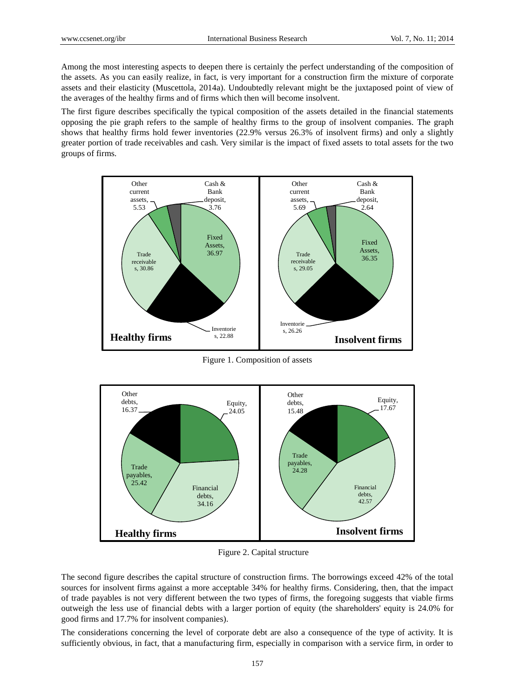Among the most interesting aspects to deepen there is certainly the perfect understanding of the composition of the assets. As you can easily realize, in fact, is very important for a construction firm the mixture of corporate assets and their elasticity (Muscettola, 2014a). Undoubtedly relevant might be the juxtaposed point of view of the averages of the healthy firms and of firms which then will become insolvent.

The first figure describes specifically the typical composition of the assets detailed in the financial statements opposing the pie graph refers to the sample of healthy firms to the group of insolvent companies. The graph shows that healthy firms hold fewer inventories (22.9% versus 26.3% of insolvent firms) and only a slightly greater portion of trade receivables and cash. Very similar is the impact of fixed assets to total assets for the two groups of firms.



Figure 1. Composition of assets



Figure 2. Capital structure

The second figure describes the capital structure of construction firms. The borrowings exceed 42% of the total sources for insolvent firms against a more acceptable 34% for healthy firms. Considering, then, that the impact of trade payables is not very different between the two types of firms, the foregoing suggests that viable firms outweigh the less use of financial debts with a larger portion of equity (the shareholders' equity is 24.0% for good firms and 17.7% for insolvent companies).

The considerations concerning the level of corporate debt are also a consequence of the type of activity. It is sufficiently obvious, in fact, that a manufacturing firm, especially in comparison with a service firm, in order to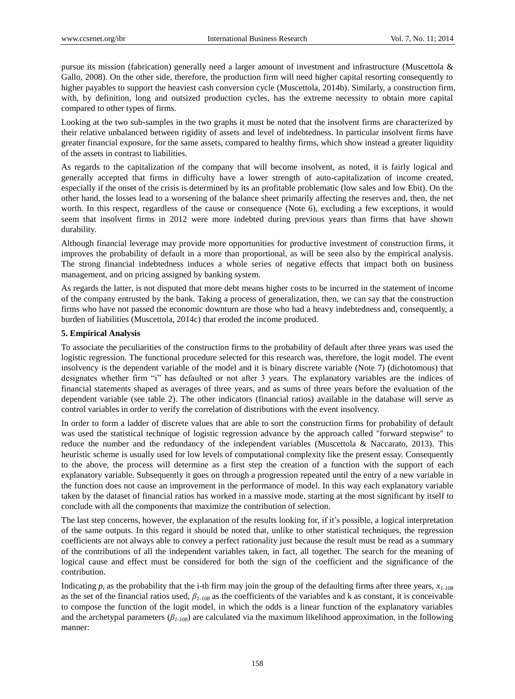pursue its mission (fabrication) generally need a larger amount of investment and infrastructure (Muscettola & Gallo, 2008). On the other side, therefore, the production firm will need higher capital resorting consequently to higher payables to support the heaviest cash conversion cycle (Muscettola, 2014b). Similarly, a construction firm, with, by definition, long and outsized production cycles, has the extreme necessity to obtain more capital compared to other types of firms.

Looking at the two sub-samples in the two graphs it must be noted that the insolvent firms are characterized by their relative unbalanced between rigidity of assets and level of indebtedness. In particular insolvent firms have greater financial exposure, for the same assets, compared to healthy firms, which show instead a greater liquidity of the assets in contrast to liabilities.

As regards to the capitalization of the company that will become insolvent, as noted, it is fairly logical and generally accepted that firms in difficulty have a lower strength of auto-capitalization of income created, especially if the onset of the crisis is determined by its an profitable problematic (low sales and low Ebit). On the other hand, the losses lead to a worsening of the balance sheet primarily affecting the reserves and, then, the net worth. In this respect, regardless of the cause or consequence (Note 6), excluding a few exceptions, it would seem that insolvent firms in 2012 were more indebted during previous years than firms that have shown durability.

Although financial leverage may provide more opportunities for productive investment of construction firms, it improves the probability of default in a more than proportional, as will be seen also by the empirical analysis. The strong financial indebtedness induces a whole series of negative effects that impact both on business management, and on pricing assigned by banking system.

As regards the latter, is not disputed that more debt means higher costs to be incurred in the statement of income of the company entrusted by the bank. Taking a process of generalization, then, we can say that the construction firms who have not passed the economic downturn are those who had a heavy indebtedness and, consequently, a burden of liabilities (Muscettola, 2014c) that eroded the income produced.

## **5. Empirical Analysis**

To associate the peculiarities of the construction firms to the probability of default after three years was used the logistic regression. The functional procedure selected for this research was, therefore, the logit model. The event insolvency is the dependent variable of the model and it is binary discrete variable (Note 7) (dichotomous) that designates whether firm "i" has defaulted or not after 3 years. The explanatory variables are the indices of financial statements shaped as averages of three years, and as sums of three years before the evaluation of the dependent variable (see table 2). The other indicators (financial ratios) available in the database will serve as control variables in order to verify the correlation of distributions with the event insolvency.

In order to form a ladder of discrete values that are able to sort the construction firms for probability of default was used the statistical technique of logistic regression advance by the approach called "forward stepwise" to reduce the number and the redundancy of the independent variables (Muscettola & Naccarato, 2013). This heuristic scheme is usually used for low levels of computational complexity like the present essay. Consequently to the above, the process will determine as a first step the creation of a function with the support of each explanatory variable. Subsequently it goes on through a progression repeated until the entry of a new variable in the function does not cause an improvement in the performance of model. In this way each explanatory variable taken by the dataset of financial ratios has worked in a massive mode, starting at the most significant by itself to conclude with all the components that maximize the contribution of selection.

The last step concerns, however, the explanation of the results looking for, if it's possible, a logical interpretation of the same outputs. In this regard it should be noted that, unlike to other statistical techniques, the regression coefficients are not always able to convey a perfect rationality just because the result must be read as a summary of the contributions of all the independent variables taken, in fact, all together. The search for the meaning of logical cause and effect must be considered for both the sign of the coefficient and the significance of the contribution.

Indicating  $p_i$  as the probability that the i-th firm may join the group of the defaulting firms after three years,  $x_i$ <sub>-108</sub> as the set of the financial ratios used, *β1-108* as the coefficients of the variables and k as constant, it is conceivable to compose the function of the logit model, in which the odds is a linear function of the explanatory variables and the archetypal parameters  $(\beta_{1-108})$  are calculated via the maximum likelihood approximation, in the following manner: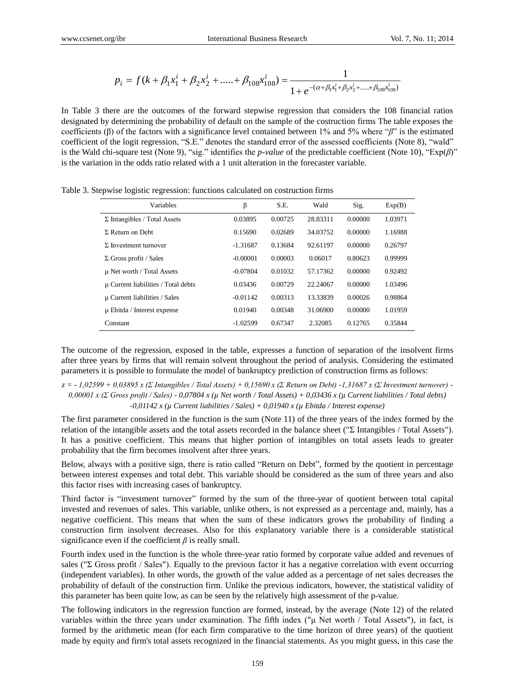$$
p_i = f(k + \beta_1 x_1^i + \beta_2 x_2^i + \dots + \beta_{108} x_{108}^i) = \frac{1}{1 + e^{-(\alpha + \beta_1 x_1^i + \beta_2 x_2^i + \dots + \beta_{108} x_{108}^i)}}
$$

In Table 3 there are the outcomes of the forward stepwise regression that considers the 108 financial ratios designated by determining the probability of default on the sample of the costruction firms The table exposes the coefficients (β) of the factors with a significance level contained between 1% and 5% where "*β*" is the estimated coefficient of the logit regression, "S.E." denotes the standard error of the assessed coefficients (Note 8), "wald" is the Wald chi-square test (Note 9), "sig." identifies the *p-value* of the predictable coefficient (Note 10), "Exp(*β*)" is the variation in the odds ratio related with a 1 unit alteration in the forecaster variable.

| Variables                           | β          | S.E.    | Wald     | Sig.    | Exp(B)  |
|-------------------------------------|------------|---------|----------|---------|---------|
| $\Sigma$ Intangibles / Total Assets | 0.03895    | 0.00725 | 28.83311 | 0.00000 | 1.03971 |
| $\Sigma$ Return on Debt             | 0.15690    | 0.02689 | 34.03752 | 0.00000 | 1.16988 |
| $\Sigma$ Investment turnover        | $-1.31687$ | 0.13684 | 92.61197 | 0.00000 | 0.26797 |
| $\Sigma$ Gross profit / Sales       | $-0.00001$ | 0.00003 | 0.06017  | 0.80623 | 0.99999 |
| µ Net worth / Total Assets          | $-0.07804$ | 0.01032 | 57.17362 | 0.00000 | 0.92492 |
| µ Current liabilities / Total debts | 0.03436    | 0.00729 | 22.24067 | 0.00000 | 1.03496 |
| µ Current liabilities / Sales       | $-0.01142$ | 0.00313 | 13.33839 | 0.00026 | 0.98864 |
| $\mu$ Ebitda / Interest expense     | 0.01940    | 0.00348 | 31.06900 | 0.00000 | 1.01959 |
| Constant                            | $-1.02599$ | 0.67347 | 2.32085  | 0.12765 | 0.35844 |

Table 3. Stepwise logistic regression: functions calculated on costruction firms

The outcome of the regression, exposed in the table, expresses a function of separation of the insolvent firms after three years by firms that will remain solvent throughout the period of analysis. Considering the estimated parameters it is possible to formulate the model of bankruptcy prediction of construction firms as follows:

*z = - 1,02599 + 0,03895 x (Σ Intangibles / Total Assets) + 0,15690 x (Σ Return on Debt) -1,31687 x (Σ Investment turnover) - 0,00001 x (Σ Gross profit / Sales) - 0,07804 x (µ Net worth / Total Assets) + 0,03436 x (µ Current liabilities / Total debts) -0,01142 x (µ Current liabilities / Sales) + 0,01940 x (µ Ebitda / Interest expense)*

The first parameter considered in the function is the sum (Note 11) of the three years of the index formed by the relation of the intangible assets and the total assets recorded in the balance sheet ("Σ Intangibles / Total Assets"). It has a positive coefficient. This means that higher portion of intangibles on total assets leads to greater probability that the firm becomes insolvent after three years.

Below, always with a positive sign, there is ratio called "Return on Debt", formed by the quotient in percentage between interest expenses and total debt. This variable should be considered as the sum of three years and also this factor rises with increasing cases of bankruptcy.

Third factor is "investment turnover" formed by the sum of the three-year of quotient between total capital invested and revenues of sales. This variable, unlike others, is not expressed as a percentage and, mainly, has a negative coefficient. This means that when the sum of these indicators grows the probability of finding a construction firm insolvent decreases. Also for this explanatory variable there is a considerable statistical significance even if the coefficient *β* is really small.

Fourth index used in the function is the whole three-year ratio formed by corporate value added and revenues of sales ("Σ Gross profit / Sales"). Equally to the previous factor it has a negative correlation with event occurring (independent variables). In other words, the growth of the value added as a percentage of net sales decreases the probability of default of the construction firm. Unlike the previous indicators, however, the statistical validity of this parameter has been quite low, as can be seen by the relatively high assessment of the p-value.

The following indicators in the regression function are formed, instead, by the average (Note 12) of the related variables within the three years under examination. The fifth index (" $\mu$  Net worth / Total Assets"), in fact, is formed by the arithmetic mean (for each firm comparative to the time horizon of three years) of the quotient made by equity and firm's total assets recognized in the financial statements. As you might guess, in this case the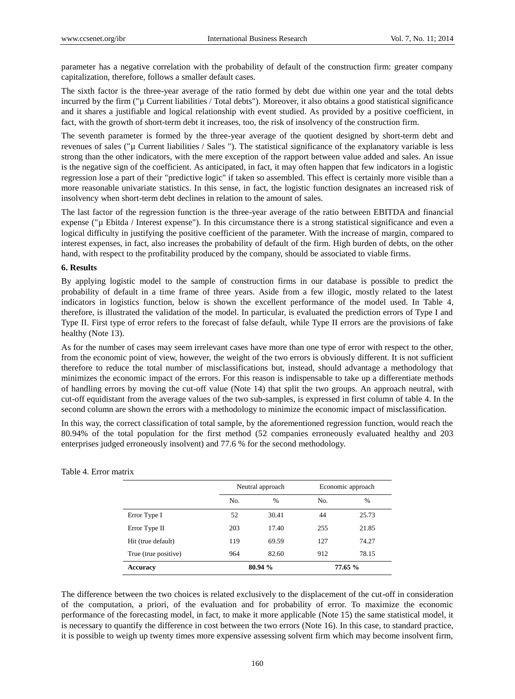parameter has a negative correlation with the probability of default of the construction firm: greater company capitalization, therefore, follows a smaller default cases.

The sixth factor is the three-year average of the ratio formed by debt due within one year and the total debts incurred by the firm ("µ Current liabilities / Total debts"). Moreover, it also obtains a good statistical significance and it shares a justifiable and logical relationship with event studied. As provided by a positive coefficient, in fact, with the growth of short-term debt it increases, too, the risk of insolvency of the construction firm.

The seventh parameter is formed by the three-year average of the quotient designed by short-term debt and revenues of sales ("µ Current liabilities / Sales "). The statistical significance of the explanatory variable is less strong than the other indicators, with the mere exception of the rapport between value added and sales. An issue is the negative sign of the coefficient. As anticipated, in fact, it may often happen that few indicators in a logistic regression lose a part of their "predictive logic" if taken so assembled. This effect is certainly more visible than a more reasonable univariate statistics. In this sense, in fact, the logistic function designates an increased risk of insolvency when short-term debt declines in relation to the amount of sales.

The last factor of the regression function is the three-year average of the ratio between EBITDA and financial expense ("µ Ebitda / Interest expense"). In this circumstance there is a strong statistical significance and even a logical difficulty in justifying the positive coefficient of the parameter. With the increase of margin, compared to interest expenses, in fact, also increases the probability of default of the firm. High burden of debts, on the other hand, with respect to the profitability produced by the company, should be associated to viable firms.

#### **6. Results**

By applying logistic model to the sample of construction firms in our database is possible to predict the probability of default in a time frame of three years. Aside from a few illogic, mostly related to the latest indicators in logistics function, below is shown the excellent performance of the model used. In Table 4, therefore, is illustrated the validation of the model. In particular, is evaluated the prediction errors of Type I and Type II. First type of error refers to the forecast of false default, while Type II errors are the provisions of fake healthy (Note 13).

As for the number of cases may seem irrelevant cases have more than one type of error with respect to the other, from the economic point of view, however, the weight of the two errors is obviously different. It is not sufficient therefore to reduce the total number of misclassifications but, instead, should advantage a methodology that minimizes the economic impact of the errors. For this reason is indispensable to take up a differentiate methods of handling errors by moving the cut-off value (Note 14) that split the two groups. An approach neutral, with cut-off equidistant from the average values of the two sub-samples, is expressed in first column of table 4. In the second column are shown the errors with a methodology to minimize the economic impact of misclassification.

In this way, the correct classification of total sample, by the aforementioned regression function, would reach the 80.94% of the total population for the first method (52 companies erroneously evaluated healthy and 203 enterprises judged erroneously insolvent) and 77.6 % for the second methodology.

|                      |     | Neutral approach |     | Economic approach |
|----------------------|-----|------------------|-----|-------------------|
|                      | No. | $\frac{0}{0}$    | No. | $\%$              |
| Error Type I         | 52  | 30.41            | 44  | 25.73             |
| Error Type II        | 203 | 17.40            | 255 | 21.85             |
| Hit (true default)   | 119 | 69.59            | 127 | 74.27             |
| True (true positive) | 964 | 82.60            | 912 | 78.15             |
| <b>Accuracy</b>      |     | 80.94 %          |     | 77.65 %           |

#### Table 4. Error matrix

The difference between the two choices is related exclusively to the displacement of the cut-off in consideration of the computation, a priori, of the evaluation and for probability of error. To maximize the economic performance of the forecasting model, in fact, to make it more applicable (Note 15) the same statistical model, it is necessary to quantify the difference in cost between the two errors (Note 16). In this case, to standard practice, it is possible to weigh up twenty times more expensive assessing solvent firm which may become insolvent firm,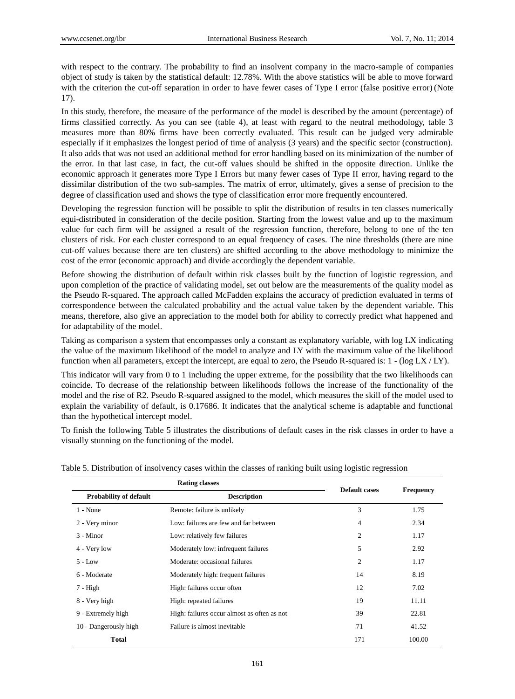with respect to the contrary. The probability to find an insolvent company in the macro-sample of companies object of study is taken by the statistical default: 12.78%. With the above statistics will be able to move forward with the criterion the cut-off separation in order to have fewer cases of Type I error (false positive error) (Note 17).

In this study, therefore, the measure of the performance of the model is described by the amount (percentage) of firms classified correctly. As you can see (table 4), at least with regard to the neutral methodology, table 3 measures more than 80% firms have been correctly evaluated. This result can be judged very admirable especially if it emphasizes the longest period of time of analysis (3 years) and the specific sector (construction). It also adds that was not used an additional method for error handling based on its minimization of the number of the error. In that last case, in fact, the cut-off values should be shifted in the opposite direction. Unlike the economic approach it generates more Type I Errors but many fewer cases of Type II error, having regard to the dissimilar distribution of the two sub-samples. The matrix of error, ultimately, gives a sense of precision to the degree of classification used and shows the type of classification error more frequently encountered.

Developing the regression function will be possible to split the distribution of results in ten classes numerically equi-distributed in consideration of the decile position. Starting from the lowest value and up to the maximum value for each firm will be assigned a result of the regression function, therefore, belong to one of the ten clusters of risk. For each cluster correspond to an equal frequency of cases. The nine thresholds (there are nine cut-off values because there are ten clusters) are shifted according to the above methodology to minimize the cost of the error (economic approach) and divide accordingly the dependent variable.

Before showing the distribution of default within risk classes built by the function of logistic regression, and upon completion of the practice of validating model, set out below are the measurements of the quality model as the Pseudo R-squared. The approach called McFadden explains the accuracy of prediction evaluated in terms of correspondence between the calculated probability and the actual value taken by the dependent variable. This means, therefore, also give an appreciation to the model both for ability to correctly predict what happened and for adaptability of the model.

Taking as comparison a system that encompasses only a constant as explanatory variable, with log LX indicating the value of the maximum likelihood of the model to analyze and LY with the maximum value of the likelihood function when all parameters, except the intercept, are equal to zero, the Pseudo R-squared is:  $1 - \left(\log L x / L y\right)$ .

This indicator will vary from 0 to 1 including the upper extreme, for the possibility that the two likelihoods can coincide. To decrease of the relationship between likelihoods follows the increase of the functionality of the model and the rise of R2. Pseudo R-squared assigned to the model, which measures the skill of the model used to explain the variability of default, is 0.17686. It indicates that the analytical scheme is adaptable and functional than the hypothetical intercept model.

To finish the following Table 5 illustrates the distributions of default cases in the risk classes in order to have a visually stunning on the functioning of the model.

| <b>Rating classes</b>         |                                             | <b>Default cases</b> |                  |  |
|-------------------------------|---------------------------------------------|----------------------|------------------|--|
| <b>Probability of default</b> | <b>Description</b>                          |                      | <b>Frequency</b> |  |
| $1 - None$                    | Remote: failure is unlikely                 | 3                    | 1.75             |  |
| 2 - Very minor                | Low: failures are few and far between       | 4                    | 2.34             |  |
| $3 -$ Minor                   | Low: relatively few failures                | 2                    | 1.17             |  |
| 4 - Very low                  | Moderately low: infrequent failures         | 5                    | 2.92             |  |
| $5 - Low$                     | Moderate: occasional failures               | 2                    | 1.17             |  |
| 6 - Moderate                  | Moderately high: frequent failures          | 14                   | 8.19             |  |
| 7 - High                      | High: failures occur often                  | 12                   | 7.02             |  |
| 8 - Very high                 | High: repeated failures                     | 19                   | 11.11            |  |
| 9 - Extremely high            | High: failures occur almost as often as not | 39                   | 22.81            |  |
| 10 - Dangerously high         | Failure is almost inevitable                | 71                   | 41.52            |  |
| <b>Total</b>                  |                                             | 171                  | 100.00           |  |

Table 5. Distribution of insolvency cases within the classes of ranking built using logistic regression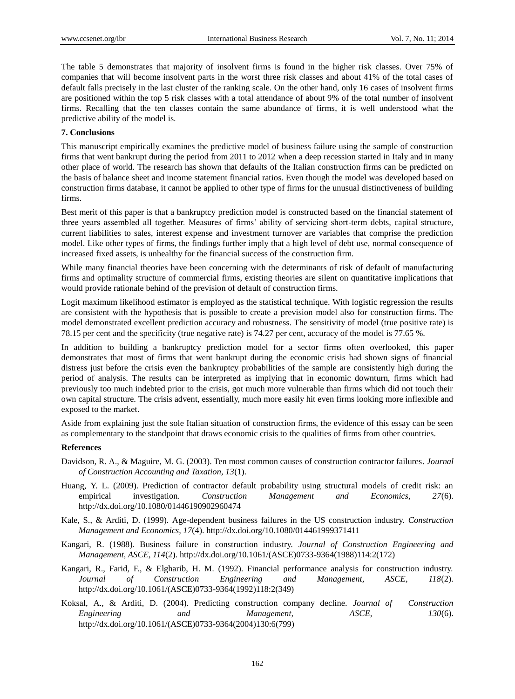The table 5 demonstrates that majority of insolvent firms is found in the higher risk classes. Over 75% of companies that will become insolvent parts in the worst three risk classes and about 41% of the total cases of default falls precisely in the last cluster of the ranking scale. On the other hand, only 16 cases of insolvent firms are positioned within the top 5 risk classes with a total attendance of about 9% of the total number of insolvent firms. Recalling that the ten classes contain the same abundance of firms, it is well understood what the predictive ability of the model is.

# **7. Conclusions**

This manuscript empirically examines the predictive model of business failure using the sample of construction firms that went bankrupt during the period from 2011 to 2012 when a deep recession started in Italy and in many other place of world. The research has shown that defaults of the Italian construction firms can be predicted on the basis of balance sheet and income statement financial ratios. Even though the model was developed based on construction firms database, it cannot be applied to other type of firms for the unusual distinctiveness of building firms.

Best merit of this paper is that a bankruptcy prediction model is constructed based on the financial statement of three years assembled all together. Measures of firms' ability of servicing short-term debts, capital structure, current liabilities to sales, interest expense and investment turnover are variables that comprise the prediction model. Like other types of firms, the findings further imply that a high level of debt use, normal consequence of increased fixed assets, is unhealthy for the financial success of the construction firm.

While many financial theories have been concerning with the determinants of risk of default of manufacturing firms and optimality structure of commercial firms, existing theories are silent on quantitative implications that would provide rationale behind of the prevision of default of construction firms.

Logit maximum likelihood estimator is employed as the statistical technique. With logistic regression the results are consistent with the hypothesis that is possible to create a prevision model also for construction firms. The model demonstrated excellent prediction accuracy and robustness. The sensitivity of model (true positive rate) is 78.15 per cent and the specificity (true negative rate) is 74.27 per cent, accuracy of the model is 77.65 %.

In addition to building a bankruptcy prediction model for a sector firms often overlooked, this paper demonstrates that most of firms that went bankrupt during the economic crisis had shown signs of financial distress just before the crisis even the bankruptcy probabilities of the sample are consistently high during the period of analysis. The results can be interpreted as implying that in economic downturn, firms which had previously too much indebted prior to the crisis, got much more vulnerable than firms which did not touch their own capital structure. The crisis advent, essentially, much more easily hit even firms looking more inflexible and exposed to the market.

Aside from explaining just the sole Italian situation of construction firms, the evidence of this essay can be seen as complementary to the standpoint that draws economic crisis to the qualities of firms from other countries.

## **References**

- Davidson, R. A., & Maguire, M. G. (2003). Ten most common causes of construction contractor failures. *Journal of Construction Accounting and Taxation, 13*(1).
- Huang, Y. L. (2009). Prediction of contractor default probability using structural models of credit risk: an empirical investigation. *Construction Management and Economics, 27*(6). http://dx.doi.org/10.1080/01446190902960474
- Kale, S., & Arditi, D. (1999). Age-dependent business failures in the US construction industry. *Construction Management and Economics, 17*(4). http://dx.doi.org/10.1080/014461999371411
- Kangari, R. (1988). Business failure in construction industry. *Journal of Construction Engineering and Management, ASCE, 114*(2). http://dx.doi.org/10.1061/(ASCE)0733-9364(1988)114:2(172)
- Kangari, R., Farid, F., & Elgharib, H. M. (1992). Financial performance analysis for construction industry. *Journal of Construction Engineering and Management, ASCE, 118*(2). http://dx.doi.org/10.1061/(ASCE)0733-9364(1992)118:2(349)
- Koksal, A., & Arditi, D. (2004). Predicting construction company decline. *Journal of Construction Engineering and Management, ASCE, 130*(6). http://dx.doi.org/10.1061/(ASCE)0733-9364(2004)130:6(799)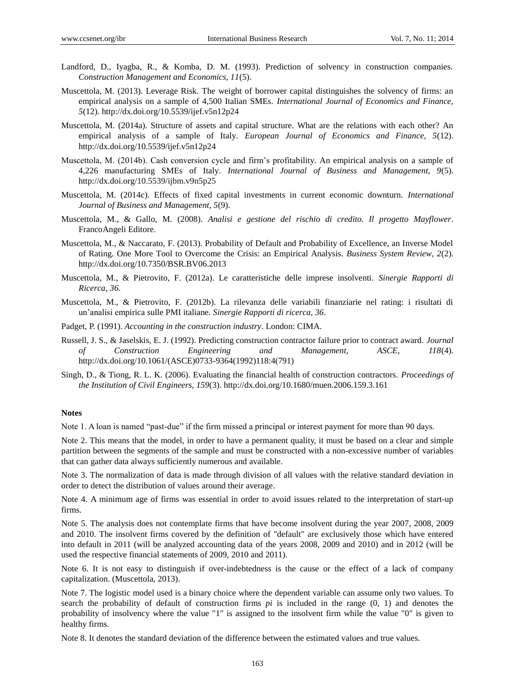- Landford, D., Iyagba, R., & Komba, D. M. (1993). Prediction of solvency in construction companies. *Construction Management and Economics, 11*(5).
- Muscettola, M. (2013). Leverage Risk. The weight of borrower capital distinguishes the solvency of firms: an empirical analysis on a sample of 4,500 Italian SMEs. *International Journal of Economics and Finance, 5*(12). http://dx.doi.org/10.5539/ijef.v5n12p24
- Muscettola, M. (2014a). Structure of assets and capital structure. What are the relations with each other? An empirical analysis of a sample of Italy. *European Journal of Economics and Finance, 5*(12). http://dx.doi.org/10.5539/ijef.v5n12p24
- Muscettola, M. (2014b). Cash conversion cycle and firm's profitability. An empirical analysis on a sample of 4,226 manufacturing SMEs of Italy. *International Journal of Business and Management, 9*(5). http://dx.doi.org/10.5539/ijbm.v9n5p25
- Muscettola, M. (2014c). Effects of fixed capital investments in current economic downturn. *International Journal of Business and Management, 5*(9).
- Muscettola, M., & Gallo, M. (2008). *Analisi e gestione del rischio di credito. Il progetto Mayflower*. FrancoAngeli Editore.
- Muscettola, M., & Naccarato, F. (2013). Probability of Default and Probability of Excellence, an Inverse Model of Rating. One More Tool to Overcome the Crisis: an Empirical Analysis. *Business System Review, 2*(2)*.* http://dx.doi.org/10.7350/BSR.BV06.2013
- Muscettola, M., & Pietrovito, F. (2012a). Le caratteristiche delle imprese insolventi. *Sinergie Rapporti di Ricerca, 36*.
- Muscettola, M., & Pietrovito, F. (2012b). La rilevanza delle variabili finanziarie nel rating: i risultati di un'analisi empirica sulle PMI italiane. *Sinergie Rapporti di ricerca, 36*.
- Padget, P. (1991). *Accounting in the construction industry*. London: CIMA.
- Russell, J. S., & Jaselskis, E. J. (1992). Predicting construction contractor failure prior to contract award. *Journal of Construction Engineering and Management, ASCE, 118*(4). http://dx.doi.org/10.1061/(ASCE)0733-9364(1992)118:4(791)
- Singh, D., & Tiong, R. L. K. (2006). Evaluating the financial health of construction contractors. *Proceedings of the Institution of Civil Engineers, 159*(3). http://dx.doi.org/10.1680/muen.2006.159.3.161

#### **Notes**

Note 1. A loan is named "past-due" if the firm missed a principal or interest payment for more than 90 days.

Note 2. This means that the model, in order to have a permanent quality, it must be based on a clear and simple partition between the segments of the sample and must be constructed with a non-excessive number of variables that can gather data always sufficiently numerous and available.

Note 3. The normalization of data is made through division of all values with the relative standard deviation in order to detect the distribution of values around their average.

Note 4. A minimum age of firms was essential in order to avoid issues related to the interpretation of start-up firms.

Note 5. The analysis does not contemplate firms that have become insolvent during the year 2007, 2008, 2009 and 2010. The insolvent firms covered by the definition of "default" are exclusively those which have entered into default in 2011 (will be analyzed accounting data of the years 2008, 2009 and 2010) and in 2012 (will be used the respective financial statements of 2009, 2010 and 2011).

Note 6. It is not easy to distinguish if over-indebtedness is the cause or the effect of a lack of company capitalization. (Muscettola, 2013).

Note 7. The logistic model used is a binary choice where the dependent variable can assume only two values. To search the probability of default of construction firms *pi* is included in the range (0, 1) and denotes the probability of insolvency where the value "1" is assigned to the insolvent firm while the value "0" is given to healthy firms.

Note 8. It denotes the standard deviation of the difference between the estimated values and true values.